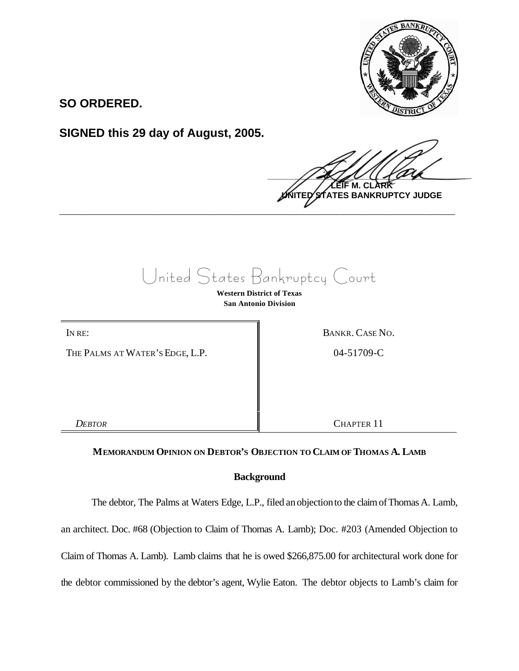

**SO ORDERED.**

**SIGNED this 29 day of August, 2005.**

 $\frac{1}{2}$ **M. C ATES BANKRUPTCY JUDGE \_\_\_\_\_\_\_\_\_\_\_\_\_\_\_\_\_\_\_\_\_\_\_\_\_\_\_\_\_\_\_\_\_\_\_\_\_\_\_\_\_\_\_\_\_\_\_\_\_\_\_\_\_\_\_\_\_\_\_\_**

United States Bankruptcy Court

**Western District of Texas San Antonio Division**

THE PALMS AT WATER'S EDGE, L.P.  $\parallel$  04-51709-C

IN RE: BANKR. CASE NO.

*DEBTOR* CHAPTER 11

# **MEMORANDUM OPINION ON DEBTOR'S OBJECTION TO CLAIM OF THOMAS A. LAMB**

# **Background**

The debtor, The Palms at Waters Edge, L.P., filed anobjectionto the claimofThomas A. Lamb,

an architect. Doc. #68 (Objection to Claim of Thomas A. Lamb); Doc. #203 (Amended Objection to

Claim of Thomas A. Lamb). Lamb claims that he is owed \$266,875.00 for architectural work done for

the debtor commissioned by the debtor's agent, Wylie Eaton. The debtor objects to Lamb's claim for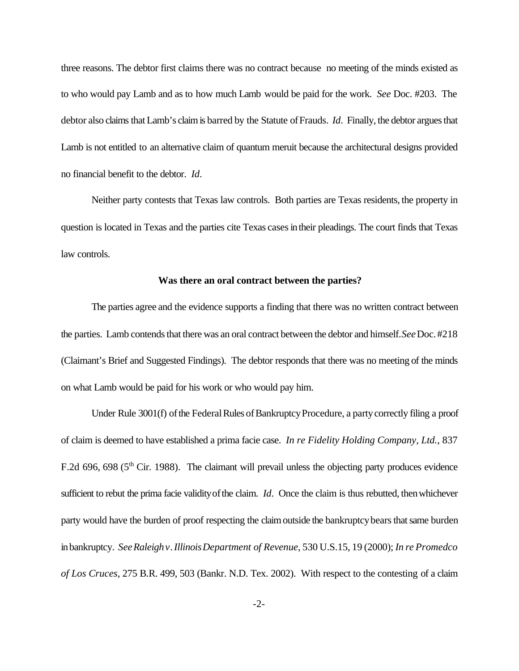three reasons. The debtor first claims there was no contract because no meeting of the minds existed as to who would pay Lamb and as to how much Lamb would be paid for the work. *See* Doc. #203. The debtor also claims that Lamb's claim is barred by the Statute of Frauds. *Id*. Finally, the debtor argues that Lamb is not entitled to an alternative claim of quantum meruit because the architectural designs provided no financial benefit to the debtor. *Id*.

Neither party contests that Texas law controls. Both parties are Texas residents, the property in question is located in Texas and the parties cite Texas cases in their pleadings. The court finds that Texas law controls.

## **Was there an oral contract between the parties?**

The parties agree and the evidence supports a finding that there was no written contract between the parties. Lamb contends that there was an oral contract between the debtor and himself. *See* Doc. #218 (Claimant's Brief and Suggested Findings). The debtor responds that there was no meeting of the minds on what Lamb would be paid for his work or who would pay him.

Under Rule 3001(f) of the Federal Rules of Bankruptcy Procedure, a party correctly filing a proof of claim is deemed to have established a prima facie case. *In re Fidelity Holding Company, Ltd.*, 837 F.2d 696, 698 ( $5<sup>th</sup>$  Cir. 1988). The claimant will prevail unless the objecting party produces evidence sufficient to rebut the prima facie validity of the claim. *Id*. Once the claim is thus rebutted, then whichever party would have the burden of proof respecting the claim outside the bankruptcy bears that same burden inbankruptcy. *SeeRaleighv.IllinoisDepartment of Revenue*, 530 U.S.15, 19 (2000); *In re Promedco of Los Cruces*, 275 B.R. 499, 503 (Bankr. N.D. Tex. 2002). With respect to the contesting of a claim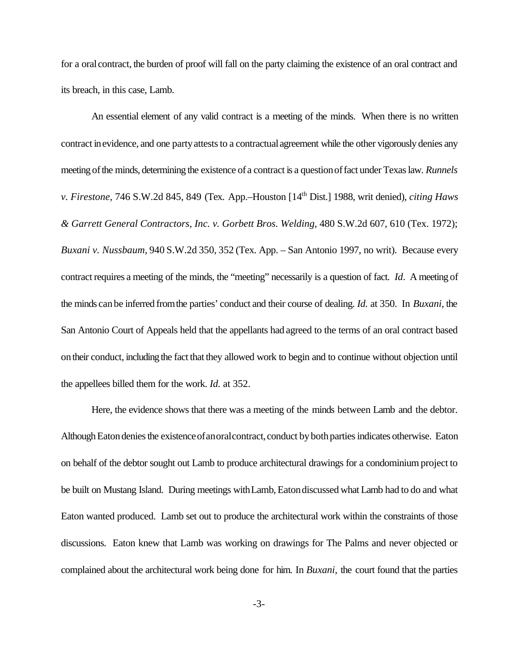for a oralcontract, the burden of proof will fall on the party claiming the existence of an oral contract and its breach, in this case, Lamb.

An essential element of any valid contract is a meeting of the minds. When there is no written contract in evidence, and one party attests to a contractual agreement while the other vigorously denies any meeting of the minds, determining the existence of a contract is a question of fact under Texas law. *Runnels v. Firestone*, 746 S.W.2d 845, 849 (Tex. App.–Houston [14th Dist.] 1988, writ denied), *citing Haws & Garrett General Contractors, Inc. v. Gorbett Bros. Welding*, 480 S.W.2d 607, 610 (Tex. 1972); *Buxani v. Nussbaum*, 940 S.W.2d 350, 352 (Tex. App. – San Antonio 1997, no writ). Because every contract requires a meeting of the minds, the "meeting" necessarily is a question of fact. *Id*. Ameeting of the minds canbe inferred fromthe parties' conduct and their course of dealing. *Id.* at 350. In *Buxani*, the San Antonio Court of Appeals held that the appellants had agreed to the terms of an oral contract based ontheir conduct, including the fact that they allowed work to begin and to continue without objection until the appellees billed them for the work. *Id.* at 352.

Here, the evidence shows that there was a meeting of the minds between Lamb and the debtor. Although Eaton denies the existence of an oral contract, conduct by both parties indicates otherwise. Eaton on behalf of the debtor sought out Lamb to produce architectural drawings for a condominiumproject to be built on Mustang Island. During meetings withLamb, Eatondiscussed what Lamb had to do and what Eaton wanted produced. Lamb set out to produce the architectural work within the constraints of those discussions. Eaton knew that Lamb was working on drawings for The Palms and never objected or complained about the architectural work being done for him. In *Buxani,* the court found that the parties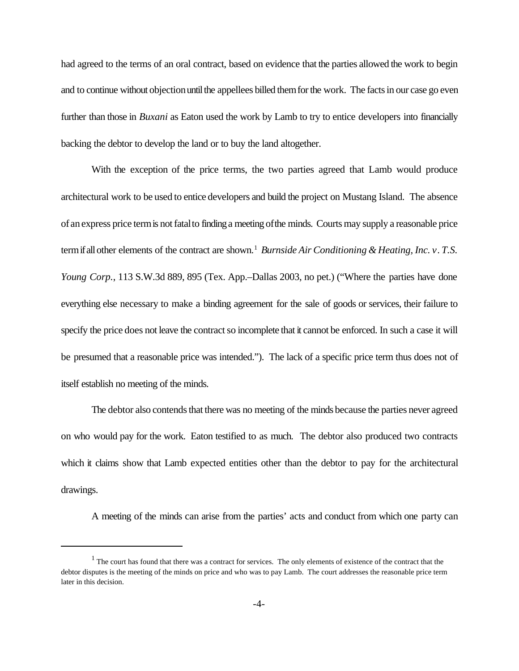had agreed to the terms of an oral contract, based on evidence that the parties allowed the work to begin and to continue without objection until the appellees billed them for the work. The facts in our case go even further than those in *Buxani* as Eaton used the work by Lamb to try to entice developers into financially backing the debtor to develop the land or to buy the land altogether.

With the exception of the price terms, the two parties agreed that Lamb would produce architectural work to be used to entice developers and build the project on Mustang Island. The absence of an express price term is not fatal to finding a meeting of the minds. Courts may supply a reasonable price term if all other elements of the contract are shown.<sup>1</sup> Burnside Air Conditioning & Heating, Inc. *v*. T.S. *Young Corp.*, 113 S.W.3d 889, 895 (Tex. App.–Dallas 2003, no pet.) ("Where the parties have done everything else necessary to make a binding agreement for the sale of goods or services, their failure to specify the price does not leave the contract so incomplete that it cannot be enforced. In such a case it will be presumed that a reasonable price was intended."). The lack of a specific price term thus does not of itself establish no meeting of the minds.

The debtor also contends that there was no meeting of the minds because the parties never agreed on who would pay for the work. Eaton testified to as much. The debtor also produced two contracts which it claims show that Lamb expected entities other than the debtor to pay for the architectural drawings.

A meeting of the minds can arise from the parties' acts and conduct from which one party can

 $<sup>1</sup>$  The court has found that there was a contract for services. The only elements of existence of the contract that the</sup> debtor disputes is the meeting of the minds on price and who was to pay Lamb. The court addresses the reasonable price term later in this decision.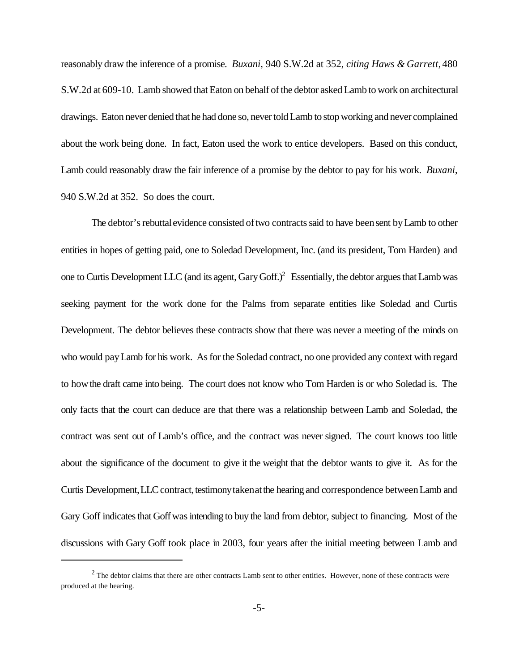reasonably draw the inference of a promise. *Buxani,* 940 S.W.2d at 352, *citing Haws & Garrett,* 480 S.W.2d at 609-10. Lamb showed that Eaton on behalf of the debtor asked Lamb to work on architectural drawings. Eaton never denied that he had done so, never told Lamb to stop working and never complained about the work being done. In fact, Eaton used the work to entice developers. Based on this conduct, Lamb could reasonably draw the fair inference of a promise by the debtor to pay for his work. *Buxani*, 940 S.W.2d at 352. So does the court.

The debtor's rebuttal evidence consisted of two contracts said to have been sent by Lamb to other entities in hopes of getting paid, one to Soledad Development, Inc. (and its president, Tom Harden) and one to Curtis Development LLC (and its agent, Gary Goff.) $^2$  Essentially, the debtor argues that Lamb was seeking payment for the work done for the Palms from separate entities like Soledad and Curtis Development. The debtor believes these contracts show that there was never a meeting of the minds on who would payLamb for his work. As for the Soledad contract, no one provided any context with regard to howthe draft came into being. The court does not know who Tom Harden is or who Soledad is. The only facts that the court can deduce are that there was a relationship between Lamb and Soledad, the contract was sent out of Lamb's office, and the contract was never signed. The court knows too little about the significance of the document to give it the weight that the debtor wants to give it. As for the Curtis Development, LLC contract, testimony taken at the hearing and correspondence between Lamb and Gary Goff indicates that Goff was intending to buy the land from debtor, subject to financing. Most of the discussions with Gary Goff took place in 2003, four years after the initial meeting between Lamb and

 $2$  The debtor claims that there are other contracts Lamb sent to other entities. However, none of these contracts were produced at the hearing.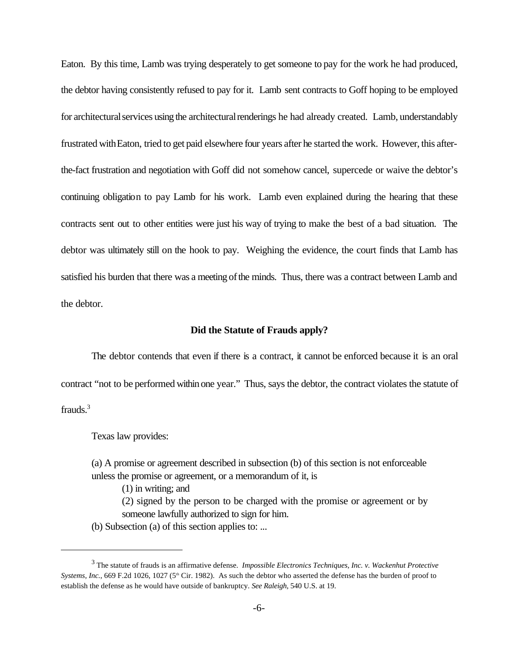Eaton. By this time, Lamb was trying desperately to get someone to pay for the work he had produced, the debtor having consistently refused to pay for it. Lamb sent contracts to Goff hoping to be employed for architectural services using the architectural renderings he had already created. Lamb, understandably frustrated with Eaton, tried to get paid elsewhere four years after he started the work. However, this afterthe-fact frustration and negotiation with Goff did not somehow cancel, supercede or waive the debtor's continuing obligation to pay Lamb for his work. Lamb even explained during the hearing that these contracts sent out to other entities were just his way of trying to make the best of a bad situation. The debtor was ultimately still on the hook to pay. Weighing the evidence, the court finds that Lamb has satisfied his burden that there was a meeting of the minds. Thus, there was a contract between Lamb and the debtor.

## **Did the Statute of Frauds apply?**

The debtor contends that even if there is a contract, it cannot be enforced because it is an oral contract "not to be performed within one year." Thus, says the debtor, the contract violates the statute of frauds. $3$ 

Texas law provides:

(a) A promise or agreement described in subsection (b) of this section is not enforceable unless the promise or agreement, or a memorandum of it, is

(1) in writing; and

(2) signed by the person to be charged with the promise or agreement or by someone lawfully authorized to sign for him.

(b) Subsection (a) of this section applies to: ...

<sup>3</sup> The statute of frauds is an affirmative defense. *Impossible Electronics Techniques, Inc. v. Wackenhut Protective Systems, Inc.*, 669 F.2d 1026, 1027 (5<sup>th</sup> Cir. 1982). As such the debtor who asserted the defense has the burden of proof to establish the defense as he would have outside of bankruptcy. *See Raleigh,* 540 U.S. at 19.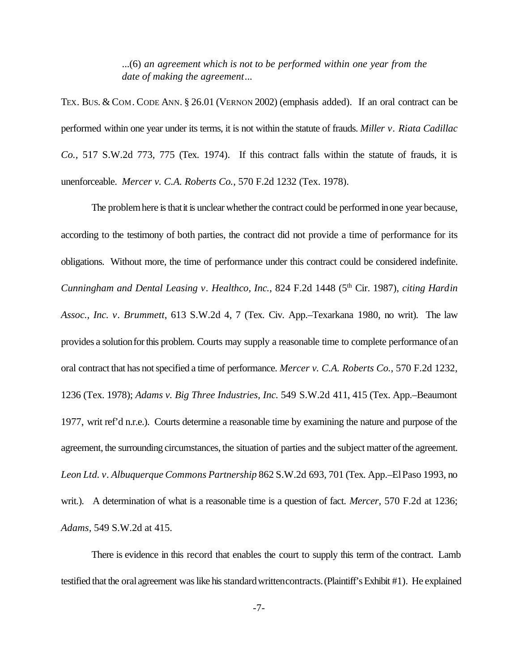...(6) *an agreement which is not to be performed within one year from the date of making the agreement*...

TEX. BUS. & COM. CODE ANN. § 26.01 (VERNON 2002) (emphasis added). If an oral contract can be performed within one year under its terms, it is not within the statute of frauds. *Miller v. Riata Cadillac Co.,* 517 S.W.2d 773, 775 (Tex. 1974). If this contract falls within the statute of frauds, it is unenforceable. *Mercer v. C.A. Roberts Co.*, 570 F.2d 1232 (Tex. 1978).

The problem here is that it is unclear whether the contract could be performed in one year because, according to the testimony of both parties, the contract did not provide a time of performance for its obligations. Without more, the time of performance under this contract could be considered indefinite. *Cunningham and Dental Leasing v. Healthco, Inc., 824 F.2d 1448 (5<sup>th</sup> Cir. 1987), <i>citing Hardin Assoc., Inc. v. Brummett*, 613 S.W.2d 4, 7 (Tex. Civ. App.–Texarkana 1980, no writ). The law provides a solutionforthis problem. Courts may supply a reasonable time to complete performance ofan oral contract that has notspecified a time of performance. *Mercer v. C.A. Roberts Co.*, 570 F.2d 1232, 1236 (Tex. 1978); *Adams v. Big Three Industries, Inc.* 549 S.W.2d 411, 415 (Tex. App.–Beaumont 1977, writ ref'd n.r.e.). Courts determine a reasonable time by examining the nature and purpose of the agreement, the surrounding circumstances, the situation of parties and the subject matter of the agreement. *Leon Ltd. v. Albuquerque Commons Partnership* 862 S.W.2d 693, 701 (Tex. App.–ElPaso 1993, no writ.). A determination of what is a reasonable time is a question of fact. *Mercer*, 570 F.2d at 1236; *Adams,* 549 S.W.2d at 415.

There is evidence in this record that enables the court to supply this term of the contract. Lamb testified that the oral agreement waslike hisstandardwrittencontracts.(Plaintiff'sExhibit #1). He explained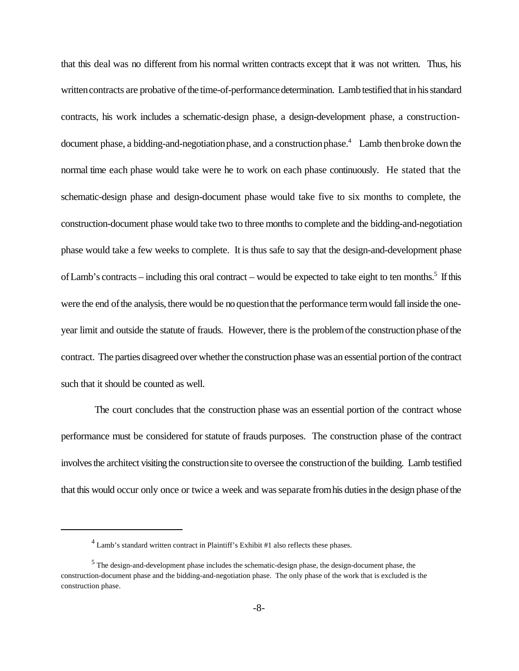that this deal was no different from his normal written contracts except that it was not written. Thus, his written contracts are probative of the time-of-performance determination. Lamb testified that in his standard contracts, his work includes a schematic-design phase, a design-development phase, a constructiondocument phase, a bidding-and-negotiation phase, and a construction phase.<sup>4</sup> Lamb then broke down the normal time each phase would take were he to work on each phase continuously. He stated that the schematic-design phase and design-document phase would take five to six months to complete, the construction-document phase would take two to three months to complete and the bidding-and-negotiation phase would take a few weeks to complete. It is thus safe to say that the design-and-development phase of Lamb's contracts – including this oral contract – would be expected to take eight to ten months.<sup>5</sup> If this were the end ofthe analysis, there would be noquestionthat the performance termwould fallinside the oneyear limit and outside the statute of frauds. However, there is the problem of the construction phase of the contract. The parties disagreed over whether the construction phase was an essential portion of the contract such that it should be counted as well.

The court concludes that the construction phase was an essential portion of the contract whose performance must be considered for statute of frauds purposes. The construction phase of the contract involves the architect visiting the construction site to oversee the construction of the building. Lamb testified that this would occur only once or twice a week and wasseparate fromhis dutiesinthe design phase ofthe

 $<sup>4</sup>$  Lamb's standard written contract in Plaintiff's Exhibit #1 also reflects these phases.</sup>

 $<sup>5</sup>$  The design-and-development phase includes the schematic-design phase, the design-document phase, the</sup> construction-document phase and the bidding-and-negotiation phase. The only phase of the work that is excluded is the construction phase.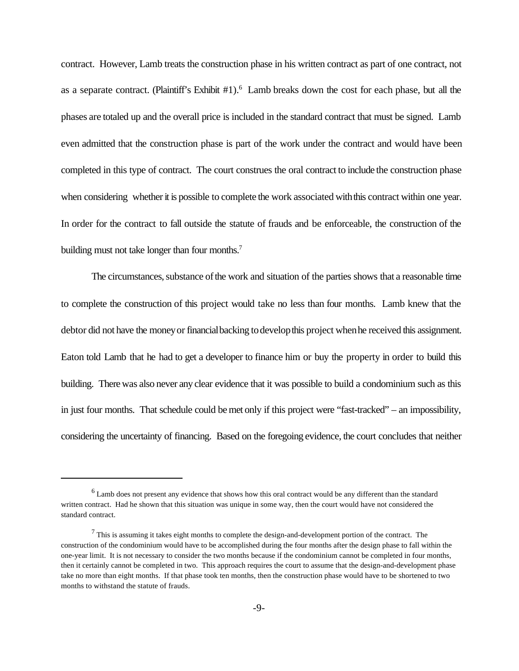contract. However, Lamb treats the construction phase in his written contract as part of one contract, not as a separate contract. (Plaintiff's Exhibit #1).<sup>6</sup> Lamb breaks down the cost for each phase, but all the phases are totaled up and the overall price is included in the standard contract that must be signed. Lamb even admitted that the construction phase is part of the work under the contract and would have been completed in this type of contract. The court construes the oral contract to include the construction phase when considering whether it is possible to complete the work associated with this contract within one year. In order for the contract to fall outside the statute of frauds and be enforceable, the construction of the building must not take longer than four months.<sup>7</sup>

The circumstances, substance of the work and situation of the parties shows that a reasonable time to complete the construction of this project would take no less than four months. Lamb knew that the debtor did not have the money or financial backing to develop this project when he received this assignment. Eaton told Lamb that he had to get a developer to finance him or buy the property in order to build this building. There was also never any clear evidence that it was possible to build a condominium such as this in just four months. That schedule could be met only if this project were "fast-tracked" – an impossibility, considering the uncertainty of financing. Based on the foregoing evidence, the court concludes that neither

 $<sup>6</sup>$  Lamb does not present any evidence that shows how this oral contract would be any different than the standard</sup> written contract. Had he shown that this situation was unique in some way, then the court would have not considered the standard contract.

 $<sup>7</sup>$  This is assuming it takes eight months to complete the design-and-development portion of the contract. The</sup> construction of the condominium would have to be accomplished during the four months after the design phase to fall within the one-year limit. It is not necessary to consider the two months because if the condominium cannot be completed in four months, then it certainly cannot be completed in two. This approach requires the court to assume that the design-and-development phase take no more than eight months. If that phase took ten months, then the construction phase would have to be shortened to two months to withstand the statute of frauds.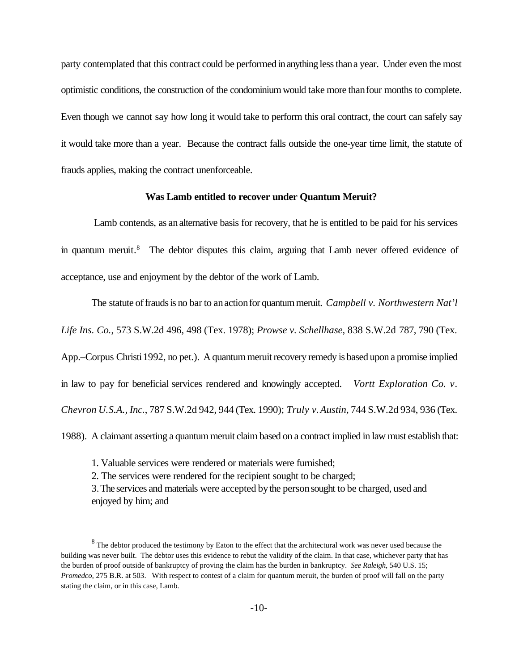party contemplated that this contract could be performed inanything lessthana year. Under even the most optimistic conditions, the construction of the condominiumwould take more thanfour months to complete. Even though we cannot say how long it would take to perform this oral contract, the court can safely say it would take more than a year. Because the contract falls outside the one-year time limit, the statute of frauds applies, making the contract unenforceable.

## **Was Lamb entitled to recover under Quantum Meruit?**

Lamb contends, as an alternative basis for recovery, that he is entitled to be paid for his services in quantum meruit.<sup>8</sup> The debtor disputes this claim, arguing that Lamb never offered evidence of acceptance, use and enjoyment by the debtor of the work of Lamb.

The statute of frauds is no bar to an action for quantum meruit. *Campbell v. Northwestern Nat'l Life Ins. Co.*, 573 S.W.2d 496, 498 (Tex. 1978); *Prowse v. Schellhase*, 838 S.W.2d 787, 790 (Tex. App.–Corpus Christi 1992, no pet.). A quantum meruit recovery remedy is based upon a promise implied in law to pay for beneficial services rendered and knowingly accepted. *Vortt Exploration Co. v. Chevron U.S.A., Inc.*, 787 S.W.2d 942, 944 (Tex. 1990); *Truly v.Austin,* 744 S.W.2d 934, 936 (Tex.

1988). A claimant asserting a quantum meruit claim based on a contract implied in law must establish that:

- 1. Valuable services were rendered or materials were furnished;
- 2. The services were rendered for the recipient sought to be charged;

3.The services and materials were accepted bythe personsought to be charged, used and enjoyed by him; and

 $8$  The debtor produced the testimony by Eaton to the effect that the architectural work was never used because the building was never built. The debtor uses this evidence to rebut the validity of the claim. In that case, whichever party that has the burden of proof outside of bankruptcy of proving the claim has the burden in bankruptcy. *See Raleigh*, 540 U.S. 15; *Promedco*, 275 B.R. at 503. With respect to contest of a claim for quantum meruit, the burden of proof will fall on the party stating the claim, or in this case, Lamb.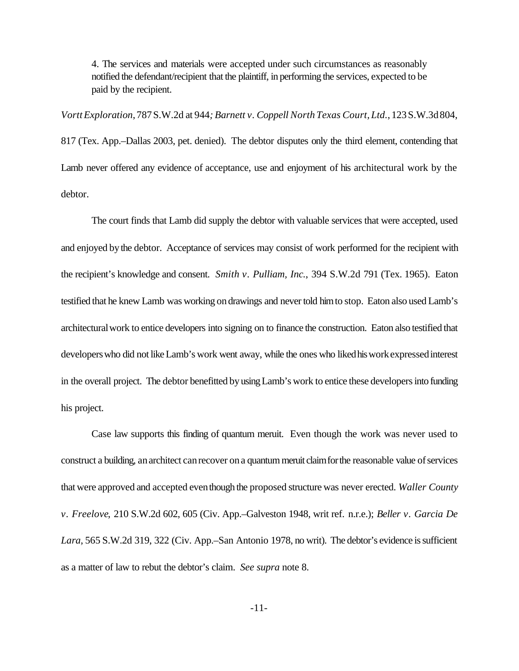4. The services and materials were accepted under such circumstances as reasonably notified the defendant/recipient that the plaintiff, in performing the services, expected to be paid by the recipient.

*VorttExploration*,787S.W.2d at 944*; Barnett v. Coppell North Texas Court, Ltd.*,123S.W.3d804,

817 (Tex. App.–Dallas 2003, pet. denied). The debtor disputes only the third element, contending that Lamb never offered any evidence of acceptance, use and enjoyment of his architectural work by the debtor.

The court finds that Lamb did supply the debtor with valuable services that were accepted, used and enjoyed bythe debtor. Acceptance of services may consist of work performed for the recipient with the recipient's knowledge and consent. *Smith v. Pulliam, Inc.*, 394 S.W.2d 791 (Tex. 1965). Eaton testified that he knew Lamb was working ondrawings and nevertold himto stop. Eaton also used Lamb's architecturalwork to entice developers into signing on to finance the construction. Eaton also testified that developers who did not like Lamb's work went away, while the ones who liked his work expressed interest in the overall project. The debtor benefitted by using Lamb's work to entice these developers into funding his project.

Case law supports this finding of quantum meruit. Even though the work was never used to construct a building, an architect can recover on a quantum meruit claim for the reasonable value of services that were approved and accepted eventhough the proposed structure was never erected. *Waller County v. Freelove*, 210 S.W.2d 602, 605 (Civ. App.–Galveston 1948, writ ref. n.r.e.); *Beller v. Garcia De Lara*, 565 S.W.2d 319, 322 (Civ. App.–San Antonio 1978, no writ). The debtor's evidence is sufficient as a matter of law to rebut the debtor's claim. *See supra* note 8.